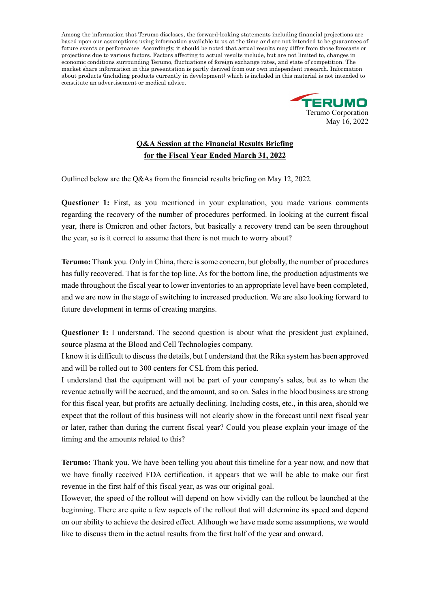

## **Q&A Session at the Financial Results Briefing for the Fiscal Year Ended March 31, 2022**

Outlined below are the Q&As from the financial results briefing on May 12, 2022.

**Questioner 1:** First, as you mentioned in your explanation, you made various comments regarding the recovery of the number of procedures performed. In looking at the current fiscal year, there is Omicron and other factors, but basically a recovery trend can be seen throughout the year, so is it correct to assume that there is not much to worry about?

**Terumo:** Thank you. Only in China, there is some concern, but globally, the number of procedures has fully recovered. That is for the top line. As for the bottom line, the production adjustments we made throughout the fiscal year to lower inventories to an appropriate level have been completed, and we are now in the stage of switching to increased production. We are also looking forward to future development in terms of creating margins.

**Questioner 1:** I understand. The second question is about what the president just explained, source plasma at the Blood and Cell Technologies company.

I know it is difficult to discuss the details, but I understand that the Rika system has been approved and will be rolled out to 300 centers for CSL from this period.

I understand that the equipment will not be part of your company's sales, but as to when the revenue actually will be accrued, and the amount, and so on. Sales in the blood business are strong for this fiscal year, but profits are actually declining. Including costs, etc., in this area, should we expect that the rollout of this business will not clearly show in the forecast until next fiscal year or later, rather than during the current fiscal year? Could you please explain your image of the timing and the amounts related to this?

**Terumo:** Thank you. We have been telling you about this timeline for a year now, and now that we have finally received FDA certification, it appears that we will be able to make our first revenue in the first half of this fiscal year, as was our original goal.

However, the speed of the rollout will depend on how vividly can the rollout be launched at the beginning. There are quite a few aspects of the rollout that will determine its speed and depend on our ability to achieve the desired effect. Although we have made some assumptions, we would like to discuss them in the actual results from the first half of the year and onward.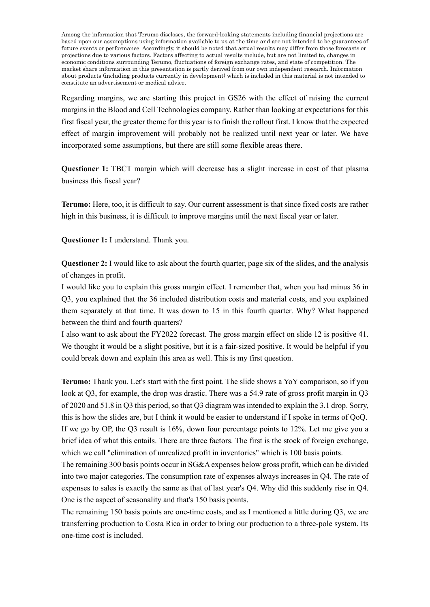Regarding margins, we are starting this project in GS26 with the effect of raising the current margins in the Blood and Cell Technologies company. Rather than looking at expectations for this first fiscal year, the greater theme for this year is to finish the rollout first. I know that the expected effect of margin improvement will probably not be realized until next year or later. We have incorporated some assumptions, but there are still some flexible areas there.

**Questioner 1:** TBCT margin which will decrease has a slight increase in cost of that plasma business this fiscal year?

**Terumo:** Here, too, it is difficult to say. Our current assessment is that since fixed costs are rather high in this business, it is difficult to improve margins until the next fiscal year or later.

**Questioner 1:** I understand. Thank you.

**Questioner 2:** I would like to ask about the fourth quarter, page six of the slides, and the analysis of changes in profit.

I would like you to explain this gross margin effect. I remember that, when you had minus 36 in Q3, you explained that the 36 included distribution costs and material costs, and you explained them separately at that time. It was down to 15 in this fourth quarter. Why? What happened between the third and fourth quarters?

I also want to ask about the FY2022 forecast. The gross margin effect on slide 12 is positive 41. We thought it would be a slight positive, but it is a fair-sized positive. It would be helpful if you could break down and explain this area as well. This is my first question.

**Terumo:** Thank you. Let's start with the first point. The slide shows a YoY comparison, so if you look at Q3, for example, the drop was drastic. There was a 54.9 rate of gross profit margin in Q3 of 2020 and 51.8 in Q3 this period, so that Q3 diagram was intended to explain the 3.1 drop. Sorry, this is how the slides are, but I think it would be easier to understand if I spoke in terms of QoQ. If we go by OP, the Q3 result is 16%, down four percentage points to 12%. Let me give you a brief idea of what this entails. There are three factors. The first is the stock of foreign exchange, which we call "elimination of unrealized profit in inventories" which is 100 basis points.

The remaining 300 basis points occur in SG&A expenses below gross profit, which can be divided into two major categories. The consumption rate of expenses always increases in Q4. The rate of expenses to sales is exactly the same as that of last year's Q4. Why did this suddenly rise in Q4. One is the aspect of seasonality and that's 150 basis points.

The remaining 150 basis points are one-time costs, and as I mentioned a little during Q3, we are transferring production to Costa Rica in order to bring our production to a three-pole system. Its one-time cost is included.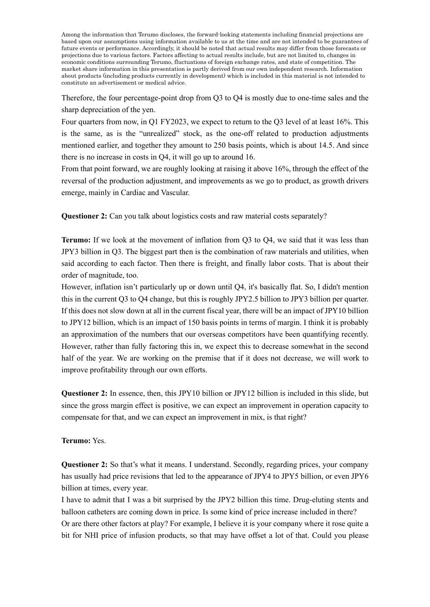Therefore, the four percentage-point drop from Q3 to Q4 is mostly due to one-time sales and the sharp depreciation of the yen.

Four quarters from now, in Q1 FY2023, we expect to return to the Q3 level of at least 16%. This is the same, as is the "unrealized" stock, as the one-off related to production adjustments mentioned earlier, and together they amount to 250 basis points, which is about 14.5. And since there is no increase in costs in Q4, it will go up to around 16.

From that point forward, we are roughly looking at raising it above 16%, through the effect of the reversal of the production adjustment, and improvements as we go to product, as growth drivers emerge, mainly in Cardiac and Vascular.

**Questioner 2:** Can you talk about logistics costs and raw material costs separately?

**Terumo:** If we look at the movement of inflation from Q3 to Q4, we said that it was less than JPY3 billion in Q3. The biggest part then is the combination of raw materials and utilities, when said according to each factor. Then there is freight, and finally labor costs. That is about their order of magnitude, too.

However, inflation isn't particularly up or down until Q4, it's basically flat. So, I didn't mention this in the current Q3 to Q4 change, but this is roughly JPY2.5 billion to JPY3 billion per quarter. If this does not slow down at all in the current fiscal year, there will be an impact of JPY10 billion to JPY12 billion, which is an impact of 150 basis points in terms of margin. I think it is probably an approximation of the numbers that our overseas competitors have been quantifying recently. However, rather than fully factoring this in, we expect this to decrease somewhat in the second half of the year. We are working on the premise that if it does not decrease, we will work to improve profitability through our own efforts.

**Questioner 2:** In essence, then, this JPY10 billion or JPY12 billion is included in this slide, but since the gross margin effect is positive, we can expect an improvement in operation capacity to compensate for that, and we can expect an improvement in mix, is that right?

## **Terumo:** Yes.

**Questioner 2:** So that's what it means. I understand. Secondly, regarding prices, your company has usually had price revisions that led to the appearance of JPY4 to JPY5 billion, or even JPY6 billion at times, every year.

I have to admit that I was a bit surprised by the JPY2 billion this time. Drug-eluting stents and balloon catheters are coming down in price. Is some kind of price increase included in there? Or are there other factors at play? For example, I believe it is your company where it rose quite a bit for NHI price of infusion products, so that may have offset a lot of that. Could you please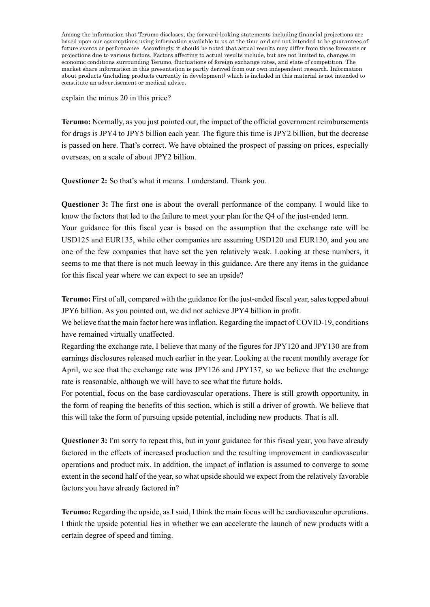explain the minus 20 in this price?

**Terumo:** Normally, as you just pointed out, the impact of the official government reimbursements for drugs is JPY4 to JPY5 billion each year. The figure this time is JPY2 billion, but the decrease is passed on here. That's correct. We have obtained the prospect of passing on prices, especially overseas, on a scale of about JPY2 billion.

**Questioner 2:** So that's what it means. I understand. Thank you.

**Questioner 3:** The first one is about the overall performance of the company. I would like to know the factors that led to the failure to meet your plan for the Q4 of the just-ended term. Your guidance for this fiscal year is based on the assumption that the exchange rate will be USD125 and EUR135, while other companies are assuming USD120 and EUR130, and you are one of the few companies that have set the yen relatively weak. Looking at these numbers, it seems to me that there is not much leeway in this guidance. Are there any items in the guidance for this fiscal year where we can expect to see an upside?

**Terumo:** First of all, compared with the guidance for the just-ended fiscal year, sales topped about JPY6 billion. As you pointed out, we did not achieve JPY4 billion in profit.

We believe that the main factor here was inflation. Regarding the impact of COVID-19, conditions have remained virtually unaffected.

Regarding the exchange rate, I believe that many of the figures for JPY120 and JPY130 are from earnings disclosures released much earlier in the year. Looking at the recent monthly average for April, we see that the exchange rate was JPY126 and JPY137, so we believe that the exchange rate is reasonable, although we will have to see what the future holds.

For potential, focus on the base cardiovascular operations. There is still growth opportunity, in the form of reaping the benefits of this section, which is still a driver of growth. We believe that this will take the form of pursuing upside potential, including new products. That is all.

**Questioner 3:** I'm sorry to repeat this, but in your guidance for this fiscal year, you have already factored in the effects of increased production and the resulting improvement in cardiovascular operations and product mix. In addition, the impact of inflation is assumed to converge to some extent in the second half of the year, so what upside should we expect from the relatively favorable factors you have already factored in?

**Terumo:** Regarding the upside, as I said, I think the main focus will be cardiovascular operations. I think the upside potential lies in whether we can accelerate the launch of new products with a certain degree of speed and timing.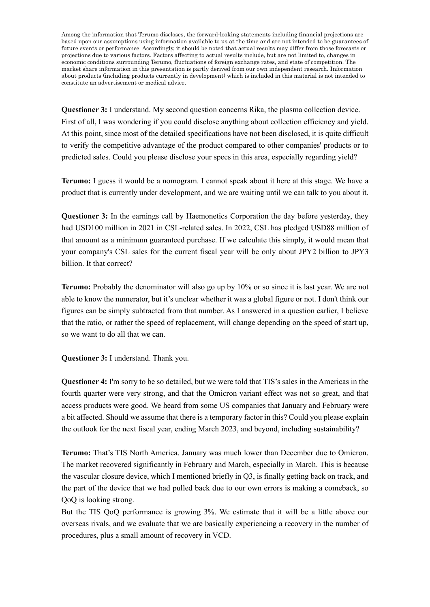**Questioner 3:** I understand. My second question concerns Rika, the plasma collection device. First of all, I was wondering if you could disclose anything about collection efficiency and yield. At this point, since most of the detailed specifications have not been disclosed, it is quite difficult to verify the competitive advantage of the product compared to other companies' products or to predicted sales. Could you please disclose your specs in this area, especially regarding yield?

**Terumo:** I guess it would be a nomogram. I cannot speak about it here at this stage. We have a product that is currently under development, and we are waiting until we can talk to you about it.

**Questioner 3:** In the earnings call by Haemonetics Corporation the day before yesterday, they had USD100 million in 2021 in CSL-related sales. In 2022, CSL has pledged USD88 million of that amount as a minimum guaranteed purchase. If we calculate this simply, it would mean that your company's CSL sales for the current fiscal year will be only about JPY2 billion to JPY3 billion. It that correct?

**Terumo:** Probably the denominator will also go up by 10% or so since it is last year. We are not able to know the numerator, but it's unclear whether it was a global figure or not. I don't think our figures can be simply subtracted from that number. As I answered in a question earlier, I believe that the ratio, or rather the speed of replacement, will change depending on the speed of start up, so we want to do all that we can.

**Questioner 3:** I understand. Thank you.

**Questioner 4:** I'm sorry to be so detailed, but we were told that TIS's sales in the Americas in the fourth quarter were very strong, and that the Omicron variant effect was not so great, and that access products were good. We heard from some US companies that January and February were a bit affected. Should we assume that there is a temporary factor in this? Could you please explain the outlook for the next fiscal year, ending March 2023, and beyond, including sustainability?

**Terumo:** That's TIS North America. January was much lower than December due to Omicron. The market recovered significantly in February and March, especially in March. This is because the vascular closure device, which I mentioned briefly in Q3, is finally getting back on track, and the part of the device that we had pulled back due to our own errors is making a comeback, so QoQ is looking strong.

But the TIS QoQ performance is growing 3%. We estimate that it will be a little above our overseas rivals, and we evaluate that we are basically experiencing a recovery in the number of procedures, plus a small amount of recovery in VCD.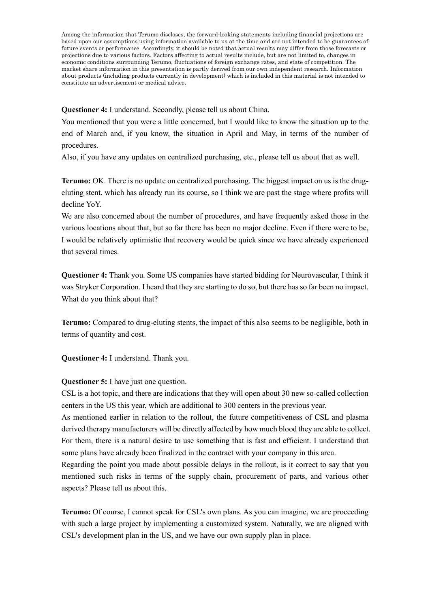**Questioner 4:** I understand. Secondly, please tell us about China.

You mentioned that you were a little concerned, but I would like to know the situation up to the end of March and, if you know, the situation in April and May, in terms of the number of procedures.

Also, if you have any updates on centralized purchasing, etc., please tell us about that as well.

**Terumo:** OK. There is no update on centralized purchasing. The biggest impact on us is the drugeluting stent, which has already run its course, so I think we are past the stage where profits will decline YoY.

We are also concerned about the number of procedures, and have frequently asked those in the various locations about that, but so far there has been no major decline. Even if there were to be, I would be relatively optimistic that recovery would be quick since we have already experienced that several times.

**Questioner 4:** Thank you. Some US companies have started bidding for Neurovascular, I think it was Stryker Corporation. I heard that they are starting to do so, but there has so far been no impact. What do you think about that?

**Terumo:** Compared to drug-eluting stents, the impact of this also seems to be negligible, both in terms of quantity and cost.

**Questioner 4:** I understand. Thank you.

**Questioner 5:** I have just one question.

CSL is a hot topic, and there are indications that they will open about 30 new so-called collection centers in the US this year, which are additional to 300 centers in the previous year.

As mentioned earlier in relation to the rollout, the future competitiveness of CSL and plasma derived therapy manufacturers will be directly affected by how much blood they are able to collect. For them, there is a natural desire to use something that is fast and efficient. I understand that some plans have already been finalized in the contract with your company in this area.

Regarding the point you made about possible delays in the rollout, is it correct to say that you mentioned such risks in terms of the supply chain, procurement of parts, and various other aspects? Please tell us about this.

**Terumo:** Of course, I cannot speak for CSL's own plans. As you can imagine, we are proceeding with such a large project by implementing a customized system. Naturally, we are aligned with CSL's development plan in the US, and we have our own supply plan in place.